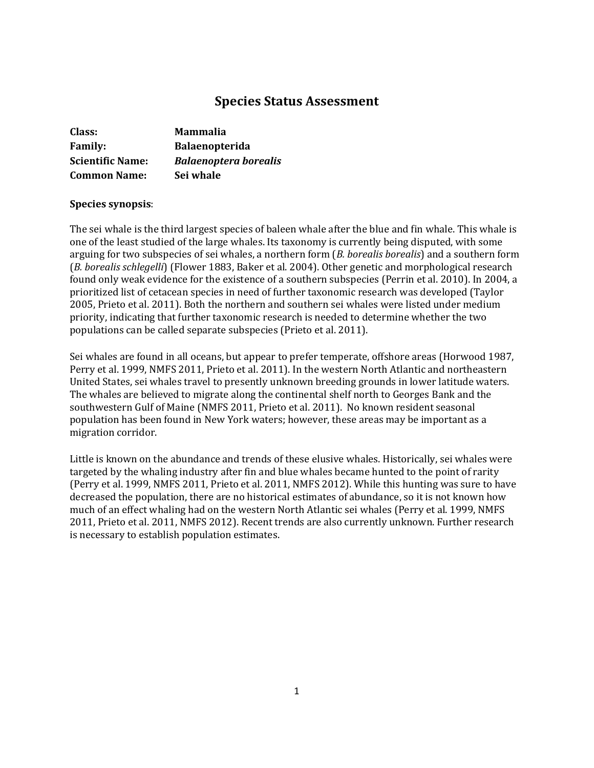# **Species Status Assessment**

| Class:                  | <b>Mammalia</b>              |
|-------------------------|------------------------------|
| <b>Family:</b>          | <b>Balaenopterida</b>        |
| <b>Scientific Name:</b> | <b>Balaenoptera borealis</b> |
| <b>Common Name:</b>     | Sei whale                    |

### **Species synopsis**:

The sei whale is the third largest species of baleen whale after the blue and fin whale. This whale is one of the least studied of the large whales. Its taxonomy is currently being disputed, with some arguing for two subspecies of sei whales, a northern form (*B. borealis borealis*) and a southern form (*B. borealis schlegelli*) (Flower 1883, Baker et al. 2004). Other genetic and morphological research found only weak evidence for the existence of a southern subspecies (Perrin et al. 2010). In 2004, a prioritized list of cetacean species in need of further taxonomic research was developed (Taylor 2005, Prieto et al. 2011). Both the northern and southern sei whales were listed under medium priority, indicating that further taxonomic research is needed to determine whether the two populations can be called separate subspecies (Prieto et al. 2011).

Sei whales are found in all oceans, but appear to prefer temperate, offshore areas (Horwood 1987, Perry et al. 1999, NMFS 2011, Prieto et al. 2011). In the western North Atlantic and northeastern United States, sei whales travel to presently unknown breeding grounds in lower latitude waters. The whales are believed to migrate along the continental shelf north to Georges Bank and the southwestern Gulf of Maine (NMFS 2011, Prieto et al. 2011). No known resident seasonal population has been found in New York waters; however, these areas may be important as a migration corridor.

Little is known on the abundance and trends of these elusive whales. Historically, sei whales were targeted by the whaling industry after fin and blue whales became hunted to the point of rarity (Perry et al. 1999, NMFS 2011, Prieto et al. 2011, NMFS 2012). While this hunting was sure to have decreased the population, there are no historical estimates of abundance, so it is not known how much of an effect whaling had on the western North Atlantic sei whales (Perry et al. 1999, NMFS 2011, Prieto et al. 2011, NMFS 2012). Recent trends are also currently unknown. Further research is necessary to establish population estimates.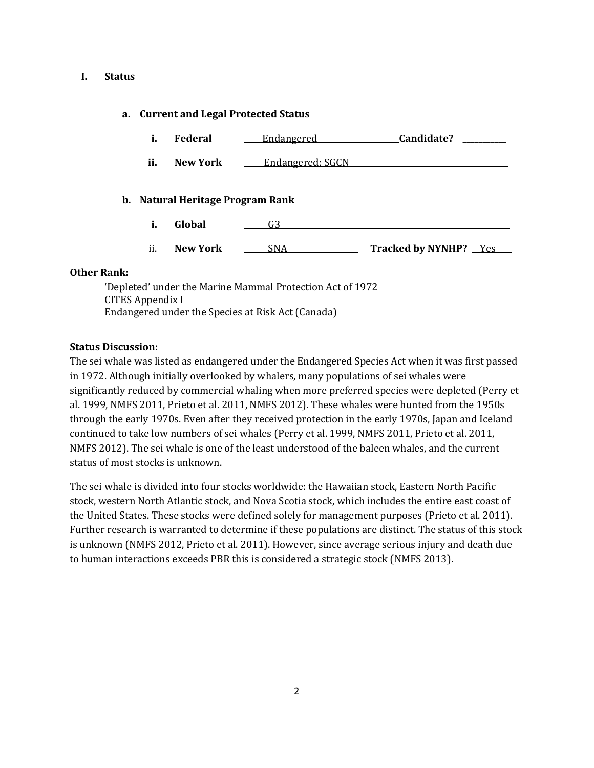### **I. Status**

## **a. Current and Legal Protected Status**

- **i. Federal** \_\_\_\_ Endangered\_\_\_\_\_\_\_\_\_\_\_\_\_\_\_\_\_\_\_\_ **Candidate? \_\_\_\_\_\_\_\_\_\_\_**
- **ii.** New York **Endangered**; SGCN

## **b. Natural Heritage Program Rank**

- **i. Global** \_\_\_\_\_\_G3\_\_\_\_\_\_\_\_\_\_\_\_\_\_\_\_\_\_\_\_\_\_\_\_\_\_\_\_\_\_\_\_\_\_\_\_\_\_\_\_\_\_\_\_\_\_\_\_\_\_\_\_\_\_\_\_\_\_
- ii. **New York** \_\_\_\_\_\_SNA\_\_\_\_\_\_\_\_\_\_\_\_\_\_\_\_\_\_ **Tracked by NYNHP?** \_\_Yes\_\_\_\_

## **Other Rank:**

'Depleted' under the Marine Mammal Protection Act of 1972 CITES Appendix I Endangered under the Species at Risk Act (Canada)

## **Status Discussion:**

The sei whale was listed as endangered under the Endangered Species Act when it was first passed in 1972. Although initially overlooked by whalers, many populations of sei whales were significantly reduced by commercial whaling when more preferred species were depleted (Perry et al. 1999, NMFS 2011, Prieto et al. 2011, NMFS 2012). These whales were hunted from the 1950s through the early 1970s. Even after they received protection in the early 1970s, Japan and Iceland continued to take low numbers of sei whales (Perry et al. 1999, NMFS 2011, Prieto et al. 2011, NMFS 2012). The sei whale is one of the least understood of the baleen whales, and the current status of most stocks is unknown.

The sei whale is divided into four stocks worldwide: the Hawaiian stock, Eastern North Pacific stock, western North Atlantic stock, and Nova Scotia stock, which includes the entire east coast of the United States. These stocks were defined solely for management purposes (Prieto et al. 2011). Further research is warranted to determine if these populations are distinct. The status of this stock is unknown (NMFS 2012, Prieto et al. 2011). However, since average serious injury and death due to human interactions exceeds PBR this is considered a strategic stock (NMFS 2013).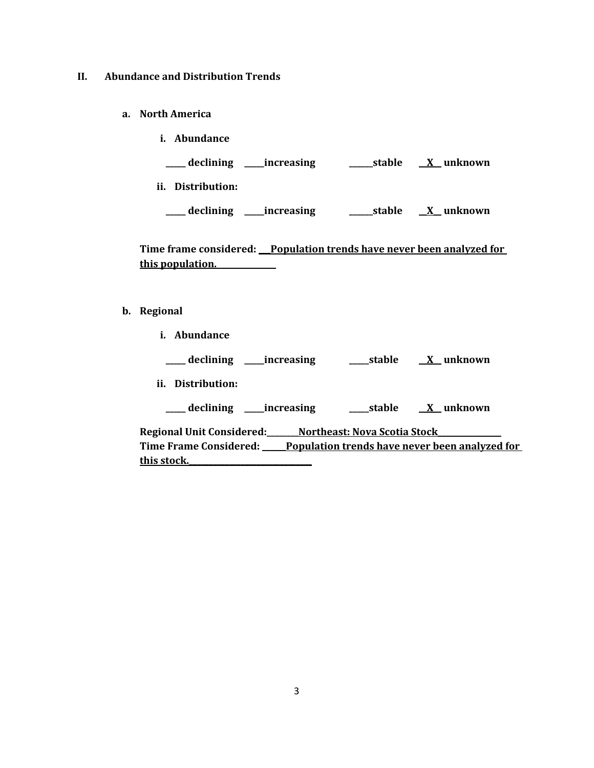### **II. Abundance and Distribution Trends**

- **a. North America**
	- **i. Abundance**

**\_\_\_\_\_ declining \_\_\_\_\_increasing \_\_\_\_\_\_stable \_\_X\_\_ unknown**

**ii. Distribution:**

**\_\_\_\_\_ declining \_\_\_\_\_increasing \_\_\_\_\_\_stable \_\_X\_\_ unknown**

Time frame considered: Population trends have never been analyzed for **this population.\_\_\_\_\_\_\_\_\_\_\_\_\_\_\_**

- **b. Regional** 
	- **i. Abundance**

**\_\_\_\_\_ declining \_\_\_\_\_increasing \_\_\_\_\_stable \_\_X\_\_ unknown**

**ii. Distribution:**

**\_\_\_\_\_ declining \_\_\_\_\_increasing \_\_\_\_\_stable \_\_X\_\_ unknown**

**Regional Unit Considered:\_\_\_\_\_\_\_\_Northeast: Nova Scotia Stock\_\_\_\_\_\_\_\_\_\_\_\_\_\_\_\_ Time Frame Considered: \_\_\_\_\_\_Population trends have never been analyzed for this stock.\_\_\_\_\_\_\_\_\_\_\_\_\_\_\_\_\_\_\_\_\_\_\_\_\_\_\_\_\_\_\_**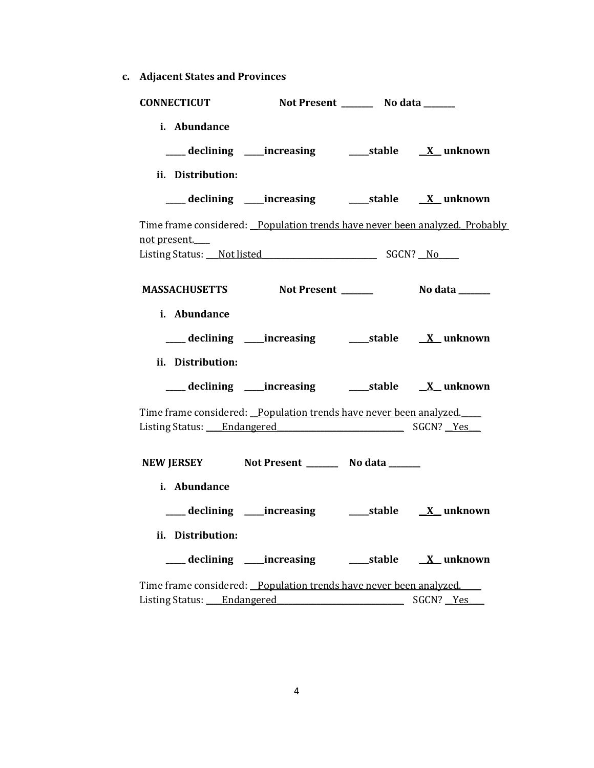**c. Adjacent States and Provinces**

| <b>CONNECTICUT</b>                                                                            |  | Not Present _________ No data _______ |                                 |  |
|-----------------------------------------------------------------------------------------------|--|---------------------------------------|---------------------------------|--|
| i. Abundance<br>___ declining ____increasing ______stable _____X_unknown<br>ii. Distribution: |  |                                       |                                 |  |
| ___ declining ____increasing ______stable _____X_unknown                                      |  |                                       |                                 |  |
| Time frame considered: Population trends have never been analyzed. Probably<br>not present.   |  |                                       |                                 |  |
|                                                                                               |  |                                       |                                 |  |
| MASSACHUSETTS Not Present ______                                                              |  |                                       | No data <b>waxaa ka mid dhe</b> |  |
| i. Abundance<br>___ declining ____increasing ______stable _____X_unknown<br>ii. Distribution: |  |                                       |                                 |  |
|                                                                                               |  |                                       |                                 |  |
| Time frame considered: Population trends have never been analyzed.                            |  |                                       |                                 |  |
| NEW JERSEY Not Present __________ No data _______                                             |  |                                       |                                 |  |
| i. Abundance                                                                                  |  |                                       |                                 |  |
|                                                                                               |  |                                       |                                 |  |
| ii. Distribution:                                                                             |  |                                       |                                 |  |
| ___ declining ____increasing ______stable _____X_unknown                                      |  |                                       |                                 |  |
| Time frame considered: Population trends have never been analyzed.                            |  |                                       |                                 |  |

Listing Status: <u>Endangered</u> \_\_\_\_\_\_\_\_\_\_\_\_\_\_\_\_\_\_\_\_\_\_\_\_\_\_\_\_\_\_\_\_\_ SGCN? <u>\_Yes</u>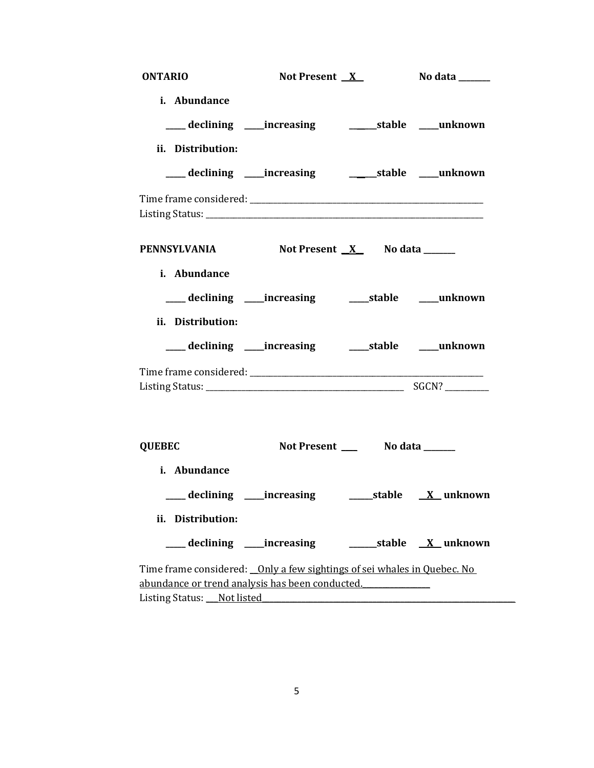| <b>ONTARIO</b>                                                                                                              | Not Present $X$ |                                 | No data ______   |
|-----------------------------------------------------------------------------------------------------------------------------|-----------------|---------------------------------|------------------|
| i. Abundance                                                                                                                |                 |                                 |                  |
| ___ declining ____increasing __________stable ____unknown                                                                   |                 |                                 |                  |
| ii. Distribution:                                                                                                           |                 |                                 |                  |
|                                                                                                                             |                 |                                 |                  |
|                                                                                                                             |                 |                                 |                  |
|                                                                                                                             |                 |                                 |                  |
| PENNSYLVANIA                                                                                                                |                 | Not Present $X$ No data _______ |                  |
| i. Abundance                                                                                                                |                 |                                 |                  |
| ___ declining ____increasing ______stable ____unknown                                                                       |                 |                                 |                  |
| ii. Distribution:                                                                                                           |                 |                                 |                  |
| ___ declining ____increasing ______stable ____unknown                                                                       |                 |                                 |                  |
|                                                                                                                             |                 |                                 |                  |
|                                                                                                                             |                 |                                 |                  |
|                                                                                                                             |                 |                                 |                  |
| <b>QUEBEC</b>                                                                                                               |                 |                                 |                  |
| i. Abundance                                                                                                                |                 |                                 |                  |
|                                                                                                                             |                 |                                 |                  |
| ii. Distribution:                                                                                                           |                 |                                 |                  |
| ____ declining _____ increasing                                                                                             |                 |                                 | stable X unknown |
| Time frame considered: _0nly a few sightings of sei whales in Quebec. No<br>abundance or trend analysis has been conducted. |                 |                                 |                  |
| Listing Status: Not listed                                                                                                  |                 |                                 |                  |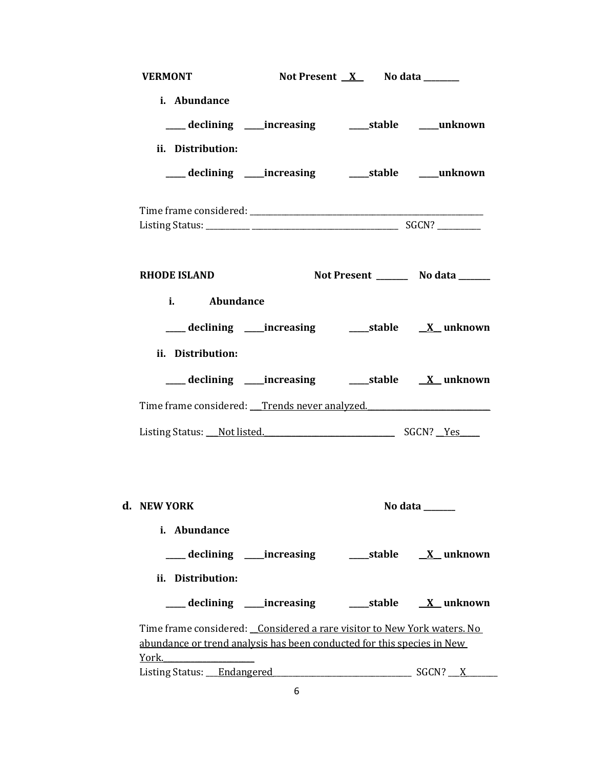| <b>VERMONT</b>                                                                                                                                    | Not Present $X$ No data _______ |                                       |
|---------------------------------------------------------------------------------------------------------------------------------------------------|---------------------------------|---------------------------------------|
| i. Abundance<br>declining ____increasing ______stable ____unknown<br>ii. Distribution:                                                            |                                 |                                       |
|                                                                                                                                                   |                                 |                                       |
|                                                                                                                                                   |                                 |                                       |
| <b>RHODE ISLAND</b>                                                                                                                               |                                 | Not Present _________ No data _______ |
| i. Abundance                                                                                                                                      |                                 |                                       |
|                                                                                                                                                   |                                 |                                       |
| ii. Distribution:                                                                                                                                 |                                 |                                       |
| ___ declining ____increasing ______stable _____X_unknown                                                                                          |                                 |                                       |
| Time frame considered: Trends never analyzed.                                                                                                     |                                 |                                       |
| Listing Status: Not listed. SGCN? Yes                                                                                                             |                                 |                                       |
|                                                                                                                                                   |                                 |                                       |
| d. NEW YORK                                                                                                                                       |                                 | No data                               |
| i. Abundance<br>ii. Distribution:                                                                                                                 |                                 |                                       |
| ___ declining ____increasing ______stable _____X_unknown                                                                                          |                                 |                                       |
| Time frame considered: Considered a rare visitor to New York waters. No<br>abundance or trend analysis has been conducted for this species in New |                                 |                                       |
| York.                                                                                                                                             |                                 |                                       |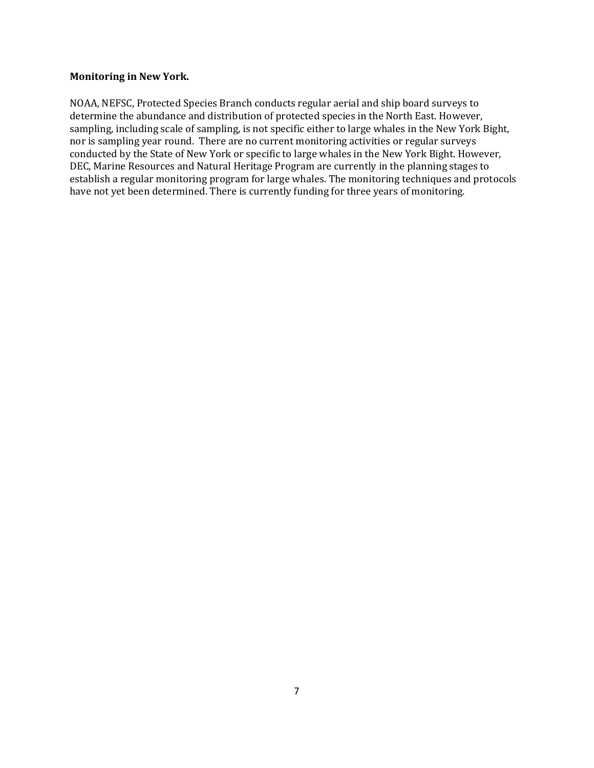## **Monitoring in New York.**

NOAA, NEFSC, Protected Species Branch conducts regular aerial and ship board surveys to determine the abundance and distribution of protected species in the North East. However, sampling, including scale of sampling, is not specific either to large whales in the New York Bight, nor is sampling year round. There are no current monitoring activities or regular surveys conducted by the State of New York or specific to large whales in the New York Bight. However, DEC, Marine Resources and Natural Heritage Program are currently in the planning stages to establish a regular monitoring program for large whales. The monitoring techniques and protocols have not yet been determined. There is currently funding for three years of monitoring.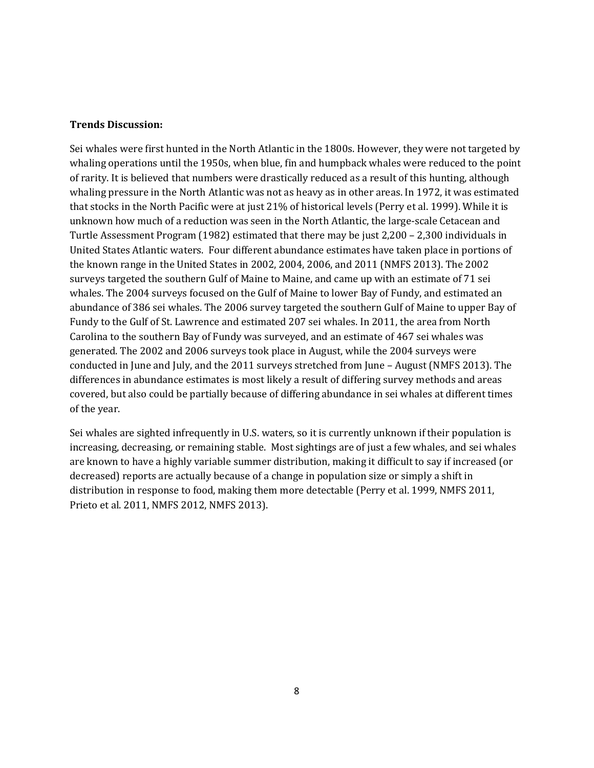## **Trends Discussion:**

Sei whales were first hunted in the North Atlantic in the 1800s. However, they were not targeted by whaling operations until the 1950s, when blue, fin and humpback whales were reduced to the point of rarity. It is believed that numbers were drastically reduced as a result of this hunting, although whaling pressure in the North Atlantic was not as heavy as in other areas. In 1972, it was estimated that stocks in the North Pacific were at just 21% of historical levels (Perry et al. 1999). While it is unknown how much of a reduction was seen in the North Atlantic, the large-scale Cetacean and Turtle Assessment Program (1982) estimated that there may be just 2,200 – 2,300 individuals in United States Atlantic waters. Four different abundance estimates have taken place in portions of the known range in the United States in 2002, 2004, 2006, and 2011 (NMFS 2013). The 2002 surveys targeted the southern Gulf of Maine to Maine, and came up with an estimate of 71 sei whales. The 2004 surveys focused on the Gulf of Maine to lower Bay of Fundy, and estimated an abundance of 386 sei whales. The 2006 survey targeted the southern Gulf of Maine to upper Bay of Fundy to the Gulf of St. Lawrence and estimated 207 sei whales. In 2011, the area from North Carolina to the southern Bay of Fundy was surveyed, and an estimate of 467 sei whales was generated. The 2002 and 2006 surveys took place in August, while the 2004 surveys were conducted in June and July, and the 2011 surveys stretched from June – August (NMFS 2013). The differences in abundance estimates is most likely a result of differing survey methods and areas covered, but also could be partially because of differing abundance in sei whales at different times of the year.

Sei whales are sighted infrequently in U.S. waters, so it is currently unknown if their population is increasing, decreasing, or remaining stable. Most sightings are of just a few whales, and sei whales are known to have a highly variable summer distribution, making it difficult to say if increased (or decreased) reports are actually because of a change in population size or simply a shift in distribution in response to food, making them more detectable (Perry et al. 1999, NMFS 2011, Prieto et al. 2011, NMFS 2012, NMFS 2013).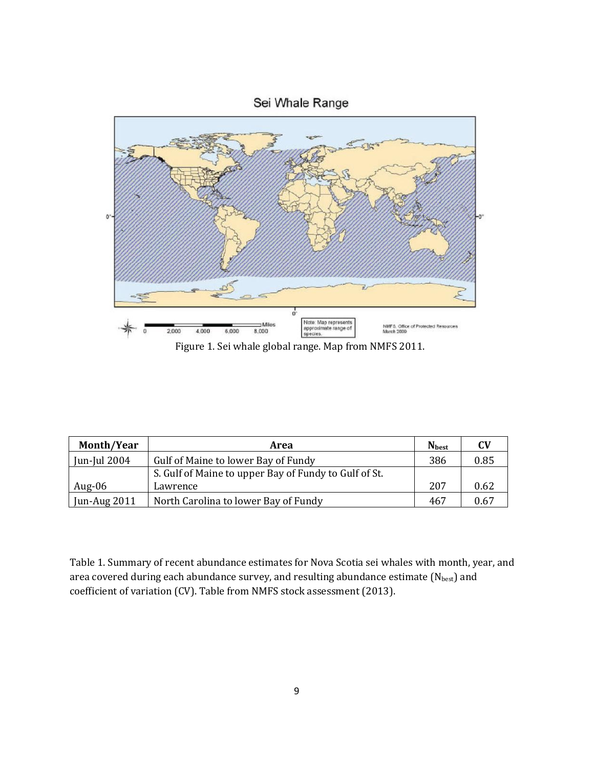

Figure 1. Sei whale global range. Map from NMFS 2011.

| Month/Year          | Area                                                  | <b>N</b> best | CV   |
|---------------------|-------------------------------------------------------|---------------|------|
| Jun-Jul 2004        | Gulf of Maine to lower Bay of Fundy                   | 386           | 0.85 |
|                     | S. Gulf of Maine to upper Bay of Fundy to Gulf of St. |               |      |
| Aug- $06$           | Lawrence                                              | 207           | 0.62 |
| <b>Jun-Aug 2011</b> | North Carolina to lower Bay of Fundy                  | 467           | 0.67 |

Table 1. Summary of recent abundance estimates for Nova Scotia sei whales with month, year, and area covered during each abundance survey, and resulting abundance estimate  $(N_{best})$  and coefficient of variation (CV). Table from NMFS stock assessment (2013).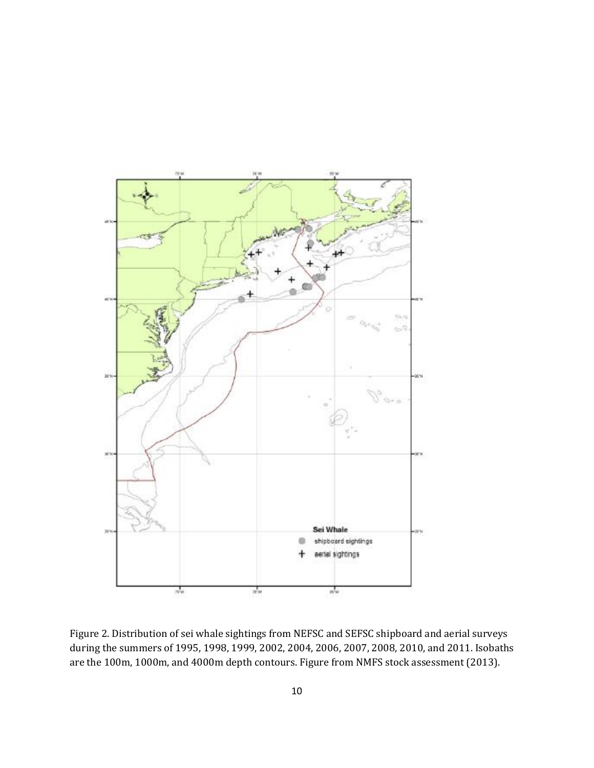

Figure 2. Distribution of sei whale sightings from NEFSC and SEFSC shipboard and aerial surveys during the summers of 1995, 1998, 1999, 2002, 2004, 2006, 2007, 2008, 2010, and 2011. Isobaths are the 100m, 1000m, and 4000m depth contours. Figure from NMFS stock assessment (2013).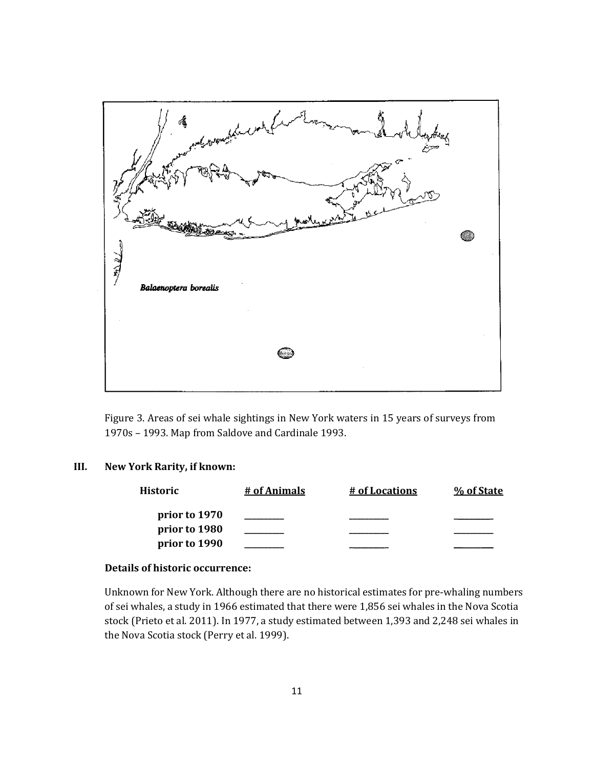

Figure 3. Areas of sei whale sightings in New York waters in 15 years of surveys from 1970s – 1993. Map from Saldove and Cardinale 1993.

## **III. New York Rarity, if known:**

| Historic      | # of Animals | # of Locations | % of State |
|---------------|--------------|----------------|------------|
| prior to 1970 |              |                |            |
| prior to 1980 |              |                |            |
| prior to 1990 |              |                |            |

## **Details of historic occurrence:**

Unknown for New York. Although there are no historical estimates for pre-whaling numbers of sei whales, a study in 1966 estimated that there were 1,856 sei whales in the Nova Scotia stock (Prieto et al. 2011). In 1977, a study estimated between 1,393 and 2,248 sei whales in the Nova Scotia stock (Perry et al. 1999).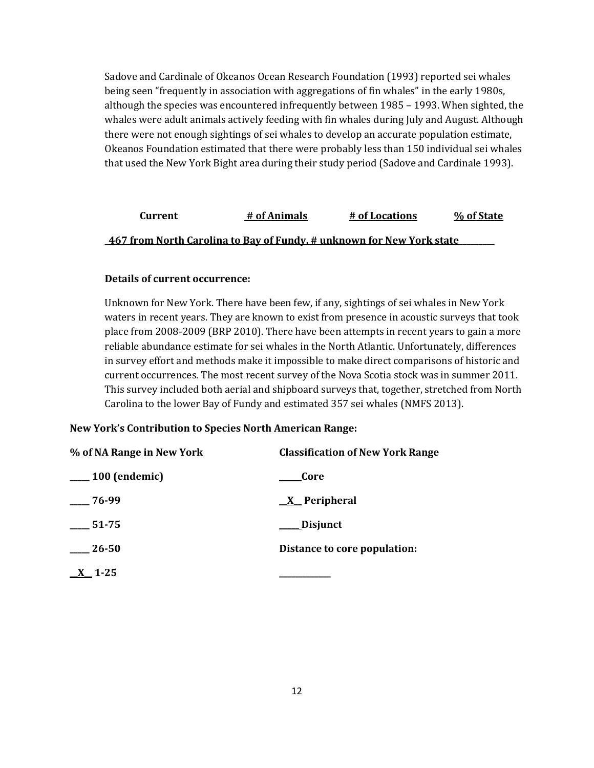Sadove and Cardinale of Okeanos Ocean Research Foundation (1993) reported sei whales being seen "frequently in association with aggregations of fin whales" in the early 1980s, although the species was encountered infrequently between 1985 – 1993. When sighted, the whales were adult animals actively feeding with fin whales during July and August. Although there were not enough sightings of sei whales to develop an accurate population estimate, Okeanos Foundation estimated that there were probably less than 150 individual sei whales that used the New York Bight area during their study period (Sadove and Cardinale 1993).

# **Current # of Animals # of Locations % of State \_467 from North Carolina to Bay of Fundy, # unknown for New York state\_\_\_\_\_\_\_\_\_**

## **Details of current occurrence:**

Unknown for New York. There have been few, if any, sightings of sei whales in New York waters in recent years. They are known to exist from presence in acoustic surveys that took place from 2008-2009 (BRP 2010). There have been attempts in recent years to gain a more reliable abundance estimate for sei whales in the North Atlantic. Unfortunately, differences in survey effort and methods make it impossible to make direct comparisons of historic and current occurrences. The most recent survey of the Nova Scotia stock was in summer 2011. This survey included both aerial and shipboard surveys that, together, stretched from North Carolina to the lower Bay of Fundy and estimated 357 sei whales (NMFS 2013).

### **New York's Contribution to Species North American Range:**

| % of NA Range in New York | <b>Classification of New York Range</b> |
|---------------------------|-----------------------------------------|
| <sub>100</sub> (endemic)  | Core                                    |
| 76-99                     | $X$ Peripheral                          |
| 51-75                     | Disjunct                                |
| $\frac{-26-50}{5}$        | Distance to core population:            |
| $X$ 1-25                  |                                         |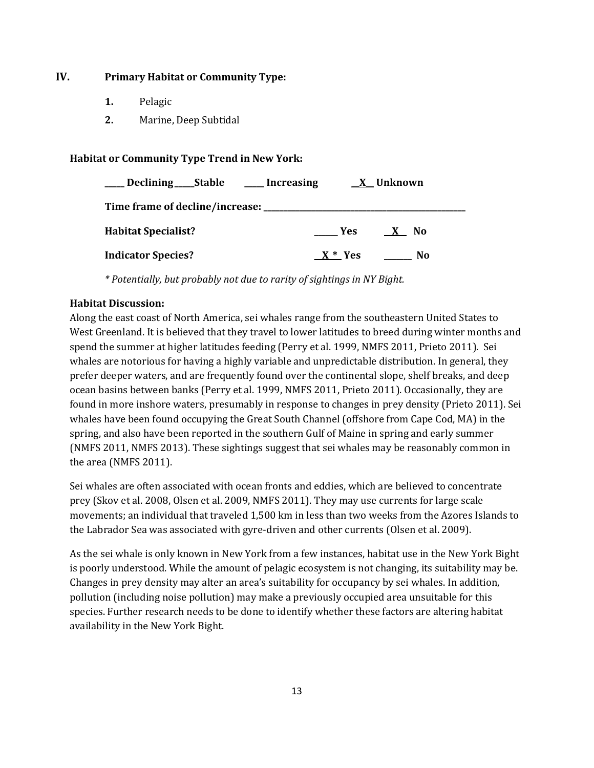# **IV. Primary Habitat or Community Type:**

- **1.** Pelagic
- **2.** Marine, Deep Subtidal

## **Habitat or Community Type Trend in New York:**

| Declining ______ Stable _________ Increasing |           | X Unknown                 |
|----------------------------------------------|-----------|---------------------------|
| Time frame of decline/increase: _______      |           |                           |
| <b>Habitat Specialist?</b>                   | Yes       | <b>No</b><br>$\mathbf{X}$ |
| <b>Indicator Species?</b>                    | $X^*$ Yes | No                        |

*\* Potentially, but probably not due to rarity of sightings in NY Bight.*

## **Habitat Discussion:**

Along the east coast of North America, sei whales range from the southeastern United States to West Greenland. It is believed that they travel to lower latitudes to breed during winter months and spend the summer at higher latitudes feeding (Perry et al. 1999, NMFS 2011, Prieto 2011). Sei whales are notorious for having a highly variable and unpredictable distribution. In general, they prefer deeper waters, and are frequently found over the continental slope, shelf breaks, and deep ocean basins between banks (Perry et al. 1999, NMFS 2011, Prieto 2011). Occasionally, they are found in more inshore waters, presumably in response to changes in prey density (Prieto 2011). Sei whales have been found occupying the Great South Channel (offshore from Cape Cod, MA) in the spring, and also have been reported in the southern Gulf of Maine in spring and early summer (NMFS 2011, NMFS 2013). These sightings suggest that sei whales may be reasonably common in the area (NMFS 2011).

Sei whales are often associated with ocean fronts and eddies, which are believed to concentrate prey (Skov et al. 2008, Olsen et al. 2009, NMFS 2011). They may use currents for large scale movements; an individual that traveled 1,500 km in less than two weeks from the Azores Islands to the Labrador Sea was associated with gyre-driven and other currents (Olsen et al. 2009).

As the sei whale is only known in New York from a few instances, habitat use in the New York Bight is poorly understood. While the amount of pelagic ecosystem is not changing, its suitability may be. Changes in prey density may alter an area's suitability for occupancy by sei whales. In addition, pollution (including noise pollution) may make a previously occupied area unsuitable for this species. Further research needs to be done to identify whether these factors are altering habitat availability in the New York Bight.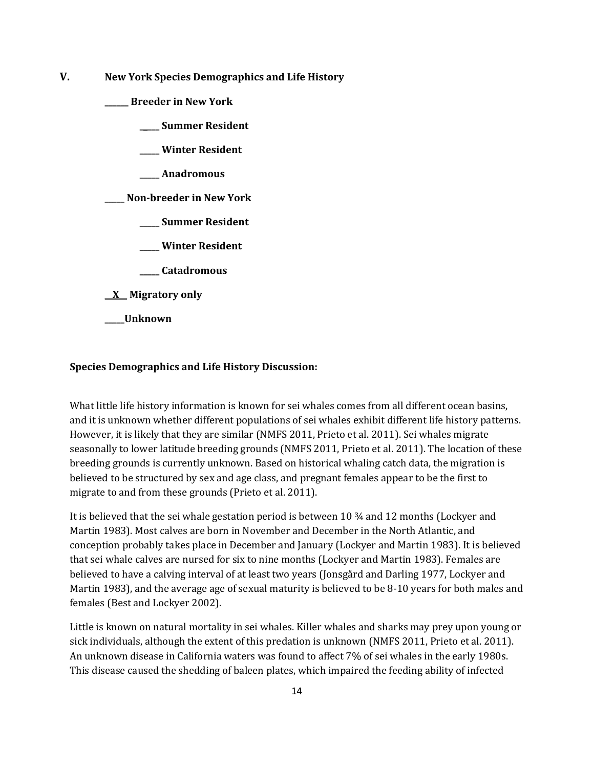**V. New York Species Demographics and Life History**

**\_\_\_\_\_\_ Breeder in New York**

**\_\_\_\_\_ Summer Resident**

**\_\_\_\_\_ Winter Resident**

**\_\_\_\_\_ Anadromous**

**\_\_\_\_\_ Non-breeder in New York**

**\_\_\_\_\_ Summer Resident**

**\_\_\_\_\_ Winter Resident**

**\_\_\_\_\_ Catadromous**

**\_\_X\_\_ Migratory only**

**\_\_\_\_\_Unknown**

## **Species Demographics and Life History Discussion:**

What little life history information is known for sei whales comes from all different ocean basins, and it is unknown whether different populations of sei whales exhibit different life history patterns. However, it is likely that they are similar (NMFS 2011, Prieto et al. 2011). Sei whales migrate seasonally to lower latitude breeding grounds (NMFS 2011, Prieto et al. 2011). The location of these breeding grounds is currently unknown. Based on historical whaling catch data, the migration is believed to be structured by sex and age class, and pregnant females appear to be the first to migrate to and from these grounds (Prieto et al. 2011).

It is believed that the sei whale gestation period is between 10 ¾ and 12 months (Lockyer and Martin 1983). Most calves are born in November and December in the North Atlantic, and conception probably takes place in December and January (Lockyer and Martin 1983). It is believed that sei whale calves are nursed for six to nine months (Lockyer and Martin 1983). Females are believed to have a calving interval of at least two years (Jonsgård and Darling 1977, Lockyer and Martin 1983), and the average age of sexual maturity is believed to be 8-10 years for both males and females (Best and Lockyer 2002).

Little is known on natural mortality in sei whales. Killer whales and sharks may prey upon young or sick individuals, although the extent of this predation is unknown (NMFS 2011, Prieto et al. 2011). An unknown disease in California waters was found to affect 7% of sei whales in the early 1980s. This disease caused the shedding of baleen plates, which impaired the feeding ability of infected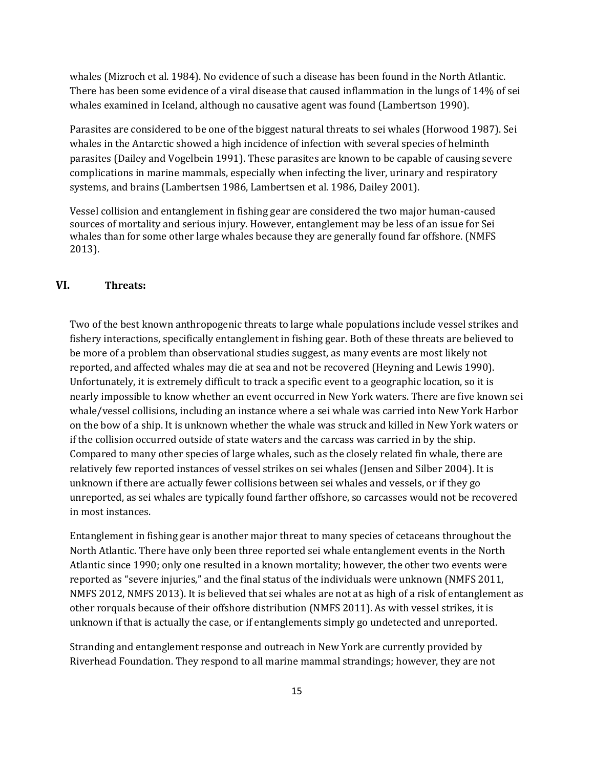whales (Mizroch et al. 1984). No evidence of such a disease has been found in the North Atlantic. There has been some evidence of a viral disease that caused inflammation in the lungs of 14% of sei whales examined in Iceland, although no causative agent was found (Lambertson 1990).

Parasites are considered to be one of the biggest natural threats to sei whales (Horwood 1987). Sei whales in the Antarctic showed a high incidence of infection with several species of helminth parasites (Dailey and Vogelbein 1991). These parasites are known to be capable of causing severe complications in marine mammals, especially when infecting the liver, urinary and respiratory systems, and brains (Lambertsen 1986, Lambertsen et al. 1986, Dailey 2001).

Vessel collision and entanglement in fishing gear are considered the two major human-caused sources of mortality and serious injury. However, entanglement may be less of an issue for Sei whales than for some other large whales because they are generally found far offshore. (NMFS 2013).

## **VI. Threats:**

Two of the best known anthropogenic threats to large whale populations include vessel strikes and fishery interactions, specifically entanglement in fishing gear. Both of these threats are believed to be more of a problem than observational studies suggest, as many events are most likely not reported, and affected whales may die at sea and not be recovered (Heyning and Lewis 1990). Unfortunately, it is extremely difficult to track a specific event to a geographic location, so it is nearly impossible to know whether an event occurred in New York waters. There are five known sei whale/vessel collisions, including an instance where a sei whale was carried into New York Harbor on the bow of a ship. It is unknown whether the whale was struck and killed in New York waters or if the collision occurred outside of state waters and the carcass was carried in by the ship. Compared to many other species of large whales, such as the closely related fin whale, there are relatively few reported instances of vessel strikes on sei whales (Jensen and Silber 2004). It is unknown if there are actually fewer collisions between sei whales and vessels, or if they go unreported, as sei whales are typically found farther offshore, so carcasses would not be recovered in most instances.

Entanglement in fishing gear is another major threat to many species of cetaceans throughout the North Atlantic. There have only been three reported sei whale entanglement events in the North Atlantic since 1990; only one resulted in a known mortality; however, the other two events were reported as "severe injuries," and the final status of the individuals were unknown (NMFS 2011, NMFS 2012, NMFS 2013). It is believed that sei whales are not at as high of a risk of entanglement as other rorquals because of their offshore distribution (NMFS 2011). As with vessel strikes, it is unknown if that is actually the case, or if entanglements simply go undetected and unreported.

Stranding and entanglement response and outreach in New York are currently provided by Riverhead Foundation. They respond to all marine mammal strandings; however, they are not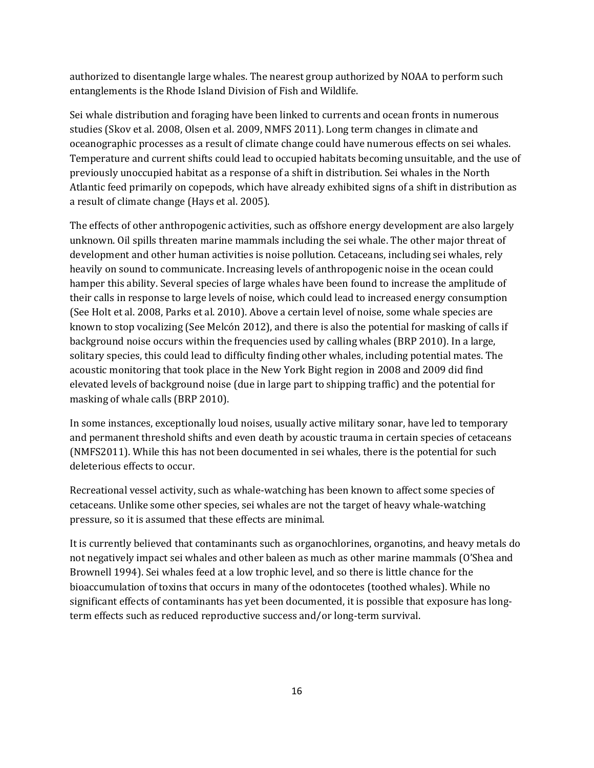authorized to disentangle large whales. The nearest group authorized by NOAA to perform such entanglements is the Rhode Island Division of Fish and Wildlife.

Sei whale distribution and foraging have been linked to currents and ocean fronts in numerous studies (Skov et al. 2008, Olsen et al. 2009, NMFS 2011). Long term changes in climate and oceanographic processes as a result of climate change could have numerous effects on sei whales. Temperature and current shifts could lead to occupied habitats becoming unsuitable, and the use of previously unoccupied habitat as a response of a shift in distribution. Sei whales in the North Atlantic feed primarily on copepods, which have already exhibited signs of a shift in distribution as a result of climate change (Hays et al. 2005).

The effects of other anthropogenic activities, such as offshore energy development are also largely unknown. Oil spills threaten marine mammals including the sei whale. The other major threat of development and other human activities is noise pollution. Cetaceans, including sei whales, rely heavily on sound to communicate. Increasing levels of anthropogenic noise in the ocean could hamper this ability. Several species of large whales have been found to increase the amplitude of their calls in response to large levels of noise, which could lead to increased energy consumption (See Holt et al. 2008, Parks et al. 2010). Above a certain level of noise, some whale species are known to stop vocalizing (See Melcón 2012), and there is also the potential for masking of calls if background noise occurs within the frequencies used by calling whales (BRP 2010). In a large, solitary species, this could lead to difficulty finding other whales, including potential mates. The acoustic monitoring that took place in the New York Bight region in 2008 and 2009 did find elevated levels of background noise (due in large part to shipping traffic) and the potential for masking of whale calls (BRP 2010).

In some instances, exceptionally loud noises, usually active military sonar, have led to temporary and permanent threshold shifts and even death by acoustic trauma in certain species of cetaceans (NMFS2011). While this has not been documented in sei whales, there is the potential for such deleterious effects to occur.

Recreational vessel activity, such as whale-watching has been known to affect some species of cetaceans. Unlike some other species, sei whales are not the target of heavy whale-watching pressure, so it is assumed that these effects are minimal.

It is currently believed that contaminants such as organochlorines, organotins, and heavy metals do not negatively impact sei whales and other baleen as much as other marine mammals (O'Shea and Brownell 1994). Sei whales feed at a low trophic level, and so there is little chance for the bioaccumulation of toxins that occurs in many of the odontocetes (toothed whales). While no significant effects of contaminants has yet been documented, it is possible that exposure has longterm effects such as reduced reproductive success and/or long-term survival.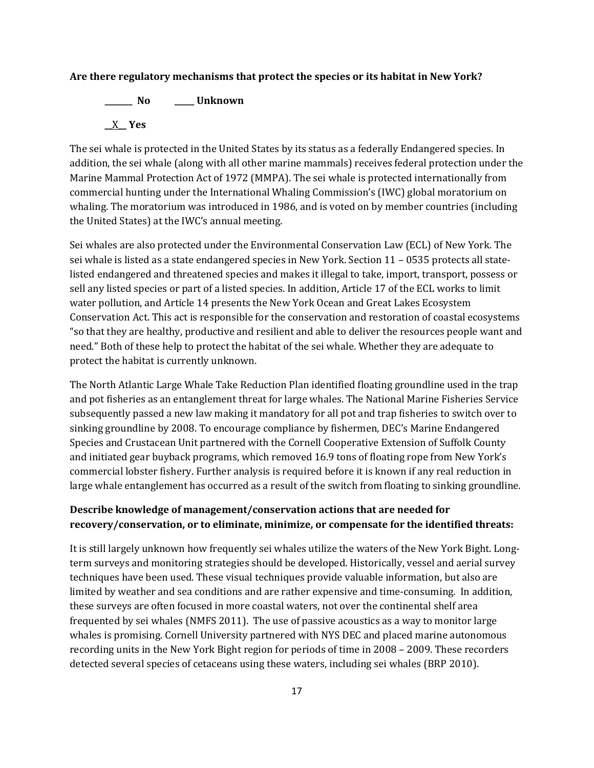### **Are there regulatory mechanisms that protect the species or its habitat in New York?**

**\_\_\_\_\_\_\_ No \_\_\_\_\_ Unknown** \_\_X\_\_ **Yes** 

The sei whale is protected in the United States by its status as a federally Endangered species. In addition, the sei whale (along with all other marine mammals) receives federal protection under the Marine Mammal Protection Act of 1972 (MMPA). The sei whale is protected internationally from commercial hunting under the International Whaling Commission's (IWC) global moratorium on whaling. The moratorium was introduced in 1986, and is voted on by member countries (including the United States) at the IWC's annual meeting.

Sei whales are also protected under the Environmental Conservation Law (ECL) of New York. The sei whale is listed as a state endangered species in New York. Section 11 – 0535 protects all statelisted endangered and threatened species and makes it illegal to take, import, transport, possess or sell any listed species or part of a listed species. In addition, Article 17 of the ECL works to limit water pollution, and Article 14 presents the New York Ocean and Great Lakes Ecosystem Conservation Act. This act is responsible for the conservation and restoration of coastal ecosystems "so that they are healthy, productive and resilient and able to deliver the resources people want and need." Both of these help to protect the habitat of the sei whale. Whether they are adequate to protect the habitat is currently unknown.

The North Atlantic Large Whale Take Reduction Plan identified floating groundline used in the trap and pot fisheries as an entanglement threat for large whales. The National Marine Fisheries Service subsequently passed a new law making it mandatory for all pot and trap fisheries to switch over to sinking groundline by 2008. To encourage compliance by fishermen, DEC's Marine Endangered Species and Crustacean Unit partnered with the Cornell Cooperative Extension of Suffolk County and initiated gear buyback programs, which removed 16.9 tons of floating rope from New York's commercial lobster fishery. Further analysis is required before it is known if any real reduction in large whale entanglement has occurred as a result of the switch from floating to sinking groundline.

# **Describe knowledge of management/conservation actions that are needed for recovery/conservation, or to eliminate, minimize, or compensate for the identified threats:**

It is still largely unknown how frequently sei whales utilize the waters of the New York Bight. Longterm surveys and monitoring strategies should be developed. Historically, vessel and aerial survey techniques have been used. These visual techniques provide valuable information, but also are limited by weather and sea conditions and are rather expensive and time-consuming. In addition, these surveys are often focused in more coastal waters, not over the continental shelf area frequented by sei whales (NMFS 2011). The use of passive acoustics as a way to monitor large whales is promising. Cornell University partnered with NYS DEC and placed marine autonomous recording units in the New York Bight region for periods of time in 2008 – 2009. These recorders detected several species of cetaceans using these waters, including sei whales (BRP 2010).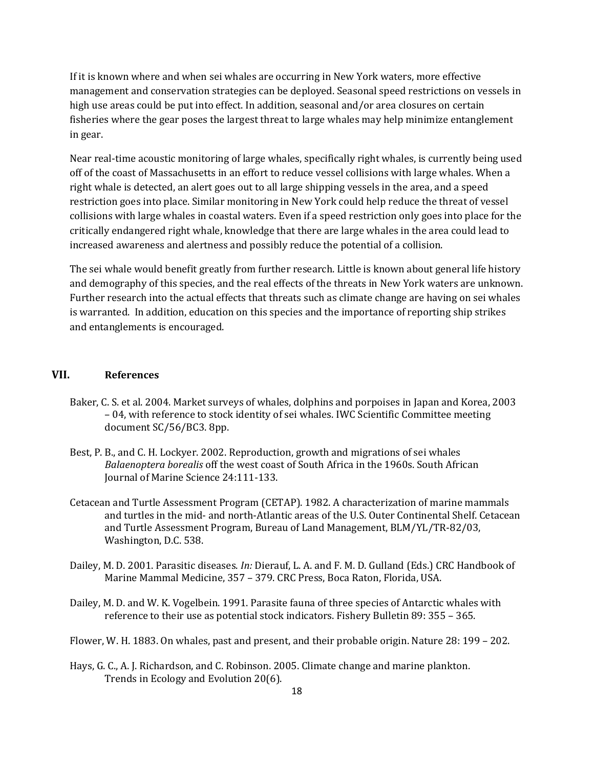If it is known where and when sei whales are occurring in New York waters, more effective management and conservation strategies can be deployed. Seasonal speed restrictions on vessels in high use areas could be put into effect. In addition, seasonal and/or area closures on certain fisheries where the gear poses the largest threat to large whales may help minimize entanglement in gear.

Near real-time acoustic monitoring of large whales, specifically right whales, is currently being used off of the coast of Massachusetts in an effort to reduce vessel collisions with large whales. When a right whale is detected, an alert goes out to all large shipping vessels in the area, and a speed restriction goes into place. Similar monitoring in New York could help reduce the threat of vessel collisions with large whales in coastal waters. Even if a speed restriction only goes into place for the critically endangered right whale, knowledge that there are large whales in the area could lead to increased awareness and alertness and possibly reduce the potential of a collision.

The sei whale would benefit greatly from further research. Little is known about general life history and demography of this species, and the real effects of the threats in New York waters are unknown. Further research into the actual effects that threats such as climate change are having on sei whales is warranted. In addition, education on this species and the importance of reporting ship strikes and entanglements is encouraged.

# **VII. References**

- Baker, C. S. et al. 2004. Market surveys of whales, dolphins and porpoises in Japan and Korea, 2003 – 04, with reference to stock identity of sei whales. IWC Scientific Committee meeting document SC/56/BC3. 8pp.
- Best, P. B., and C. H. Lockyer. 2002. Reproduction, growth and migrations of sei whales *Balaenoptera borealis* off the west coast of South Africa in the 1960s. South African Journal of Marine Science 24:111-133.
- Cetacean and Turtle Assessment Program (CETAP). 1982. A characterization of marine mammals and turtles in the mid- and north-Atlantic areas of the U.S. Outer Continental Shelf. Cetacean and Turtle Assessment Program, Bureau of Land Management, BLM/YL/TR-82/03, Washington, D.C. 538.
- Dailey, M. D. 2001. Parasitic diseases. *In:* Dierauf, L. A. and F. M. D. Gulland (Eds.) CRC Handbook of Marine Mammal Medicine, 357 – 379. CRC Press, Boca Raton, Florida, USA.
- Dailey, M. D. and W. K. Vogelbein. 1991. Parasite fauna of three species of Antarctic whales with reference to their use as potential stock indicators. Fishery Bulletin 89: 355 – 365.
- Flower, W. H. 1883. On whales, past and present, and their probable origin. Nature 28: 199 202.
- Hays, G. C., A. J. Richardson, and C. Robinson. 2005. Climate change and marine plankton. Trends in Ecology and Evolution 20(6).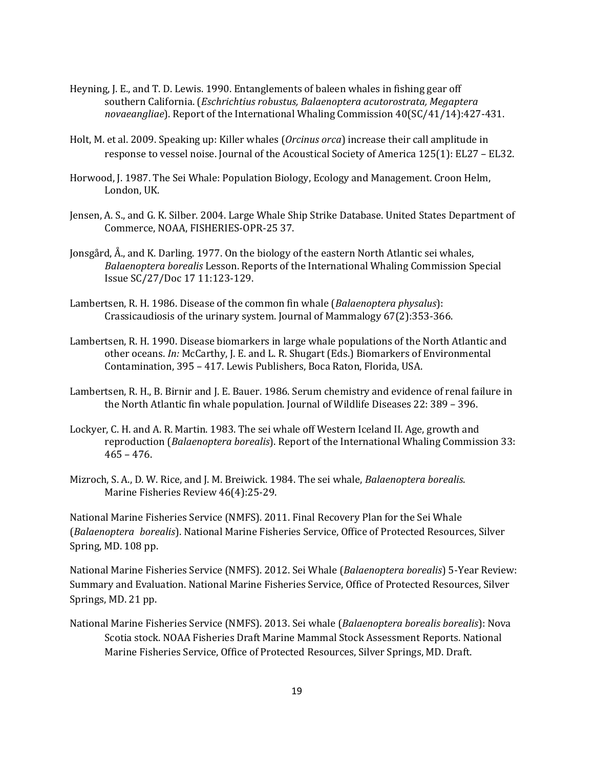- Heyning, J. E., and T. D. Lewis. 1990. Entanglements of baleen whales in fishing gear off southern California. (*Eschrichtius robustus, Balaenoptera acutorostrata, Megaptera novaeangliae*). Report of the International Whaling Commission 40(SC/41/14):427-431.
- Holt, M. et al. 2009. Speaking up: Killer whales (*Orcinus orca*) increase their call amplitude in response to vessel noise. Journal of the Acoustical Society of America 125(1): EL27 – EL32.
- Horwood, J. 1987. The Sei Whale: Population Biology, Ecology and Management. Croon Helm, London, UK.
- Jensen, A. S., and G. K. Silber. 2004. Large Whale Ship Strike Database. United States Department of Commerce, NOAA, FISHERIES-OPR-25 37.
- Jonsgård, Å., and K. Darling. 1977. On the biology of the eastern North Atlantic sei whales, *Balaenoptera borealis* Lesson. Reports of the International Whaling Commission Special Issue SC/27/Doc 17 11:123-129.
- Lambertsen, R. H. 1986. Disease of the common fin whale (*Balaenoptera physalus*): Crassicaudiosis of the urinary system. Journal of Mammalogy 67(2):353-366.
- Lambertsen, R. H. 1990. Disease biomarkers in large whale populations of the North Atlantic and other oceans. *In:* McCarthy, J. E. and L. R. Shugart (Eds.) Biomarkers of Environmental Contamination, 395 – 417. Lewis Publishers, Boca Raton, Florida, USA.
- Lambertsen, R. H., B. Birnir and J. E. Bauer. 1986. Serum chemistry and evidence of renal failure in the North Atlantic fin whale population. Journal of Wildlife Diseases 22: 389 – 396.
- Lockyer, C. H. and A. R. Martin. 1983. The sei whale off Western Iceland II. Age, growth and reproduction (*Balaenoptera borealis*). Report of the International Whaling Commission 33: 465 – 476.
- Mizroch, S. A., D. W. Rice, and J. M. Breiwick. 1984. The sei whale, *Balaenoptera borealis*. Marine Fisheries Review 46(4):25-29.

National Marine Fisheries Service (NMFS). 2011. Final Recovery Plan for the Sei Whale (*Balaenoptera borealis*). National Marine Fisheries Service, Office of Protected Resources, Silver Spring, MD. 108 pp.

National Marine Fisheries Service (NMFS). 2012. Sei Whale (*Balaenoptera borealis*) 5-Year Review: Summary and Evaluation. National Marine Fisheries Service, Office of Protected Resources, Silver Springs, MD. 21 pp.

National Marine Fisheries Service (NMFS). 2013. Sei whale (*Balaenoptera borealis borealis*): Nova Scotia stock. NOAA Fisheries Draft Marine Mammal Stock Assessment Reports. National Marine Fisheries Service, Office of Protected Resources, Silver Springs, MD. Draft.